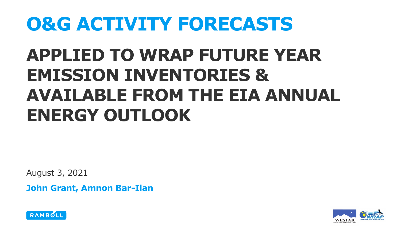# **O&G ACTIVITY FORECASTS**

## **APPLIED TO WRAP FUTURE YEAR EMISSION INVENTORIES & AVAILABLE FROM THE EIA ANNUAL ENERGY OUTLOOK**

August 3, 2021

**John Grant, Amnon Bar-Ilan**



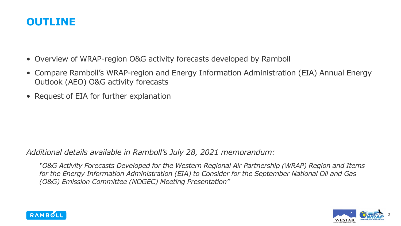### **OUTLINE**

- Overview of WRAP-region O&G activity forecasts developed by Ramboll
- Compare Ramboll's WRAP-region and Energy Information Administration (EIA) Annual Energy Outlook (AEO) O&G activity forecasts
- Request of EIA for further explanation

*Additional details available in Ramboll's July 28, 2021 memorandum:* 

*"O&G Activity Forecasts Developed for the Western Regional Air Partnership (WRAP) Region and Items for the Energy Information Administration (EIA) to Consider for the September National Oil and Gas (O&G) Emission Committee (NOGEC) Meeting Presentation"*



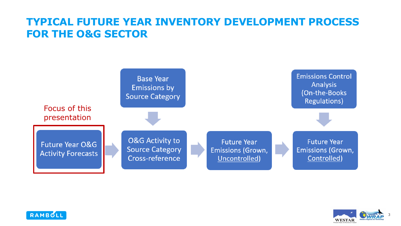### **TYPICAL FUTURE YEAR INVENTORY DEVELOPMENT PROCESS FOR THE O&G SECTOR**





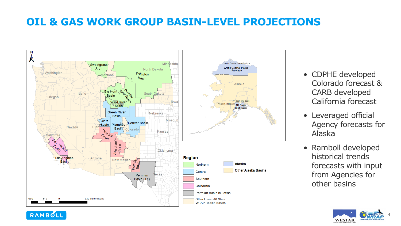### **OIL & GAS WORK GROUP BASIN-LEVEL PROJECTIONS**



- CDPHE developed Colorado forecast & CARB developed California forecast
- Leveraged official Agency forecasts for Alaska
- Ramboll developed historical trends forecasts with input from Agencies for other basins

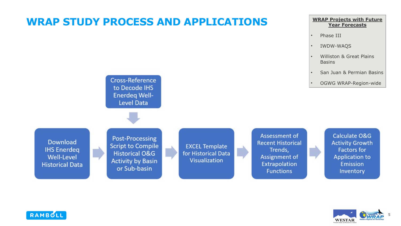### **WRAP STUDY PROCESS AND APPLICATIONS**

#### **WRAP Projects with Future Year Forecasts**

- Phase III
- IWDW-WAQS
- Williston & Great Plains Basins
- San Juan & Permian Basins
- OGWG WRAP-Region-wide

**Download IHS Enerdeg Well-Level Historical Data** 

**Post-Processing Script to Compile Historical O&G Activity by Basin** or Sub-basin

**Cross-Reference** to Decode IHS **Enerdeg Well-Level Data** 

> **EXCEL Template** for Historical Data **Visualization**

Assessment of **Recent Historical** Trends, Assignment of **Extrapolation Functions** 

Calculate O&G **Activity Growth Factors for Application to** Emission Inventory



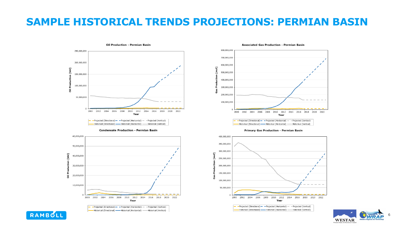### **SAMPLE HISTORICAL TRENDS PROJECTIONS: PERMIAN BASIN**



**Condensate Production - Permian Basin** 



**Associated Gas Production - Permian Basin** 800.000.000 700,000,000 600,000,000 500,000,000 400,000,000 300,000,000 5 200,000,000 100,000,000 2000 2002 2004 2006 2008 2010 2012 2014 2016 2018 2020 2022 Year  $-$  Projected (Directional)  $-$  Projected (Horizontal)  $-$  Projected (Vertical) - Historical (Directional) - Historical (Horizontal) - Historical (Vertical)





6**WESTAR** 

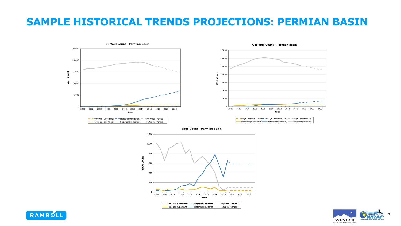### **SAMPLE HISTORICAL TRENDS PROJECTIONS: PERMIAN BASIN**



Spud Count - Permian Basin





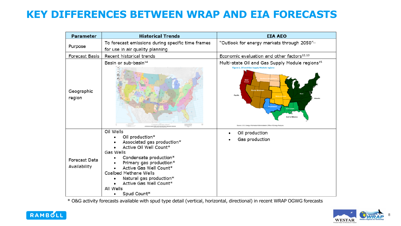### **KEY DIFFERENCES BETWEEN WRAP AND EIA FORECASTS**

| <b>Parameter</b>              | <b>Historical Trends</b>                                                                                                                                                                                                                                                                   | <b>EIA AEO</b>                                                                                                                                                                                                             |
|-------------------------------|--------------------------------------------------------------------------------------------------------------------------------------------------------------------------------------------------------------------------------------------------------------------------------------------|----------------------------------------------------------------------------------------------------------------------------------------------------------------------------------------------------------------------------|
| Purpose                       | To forecast emissions during specific time frames<br>for use in air quality planning                                                                                                                                                                                                       | "Outlook for energy markets through 2050" <sup>11</sup>                                                                                                                                                                    |
| Forecast Basis                | Recent historical trends                                                                                                                                                                                                                                                                   | Economic evaluation and other factors <sup>12,13</sup>                                                                                                                                                                     |
| Geographic<br>region          | Basin or sub-basin <sup>14</sup>                                                                                                                                                                                                                                                           | Multi-state Oil and Gas Supply Module regions <sup>15</sup><br>Figure 1. Oil and Gas Supply Module regions<br>West<br>Coast<br><b>Pacific</b><br>surce: U.S. Energy Information Administration, Office of Energy Analysis. |
| Forecast Data<br>Availability | Oil Wells<br>Oil production*<br>Associated gas production*<br>Active Oil Well Count*<br>Gas Wells<br>Condensate production*<br>Primary gas production*<br>Active Gas Well Count*<br>Coalbed Methane Wells<br>Natural gas production*<br>Active Gas Well Count*<br>All Wells<br>Spud Count* | Oil production<br>Gas production                                                                                                                                                                                           |

\* O&G activity forecasts available with spud type detail (vertical, horizontal, directional) in recent WRAP OGWG forecasts



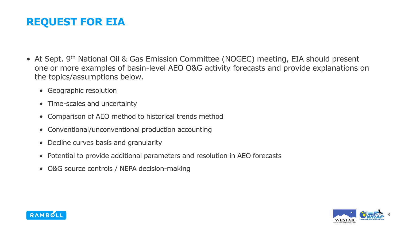### **REQUEST FOR EIA**

- At Sept. 9<sup>th</sup> National Oil & Gas Emission Committee (NOGEC) meeting, EIA should present one or more examples of basin-level AEO O&G activity forecasts and provide explanations on the topics/assumptions below.
	- Geographic resolution
	- Time-scales and uncertainty
	- Comparison of AEO method to historical trends method
	- Conventional/unconventional production accounting
	- Decline curves basis and granularity
	- Potential to provide additional parameters and resolution in AEO forecasts
	- O&G source controls / NEPA decision-making